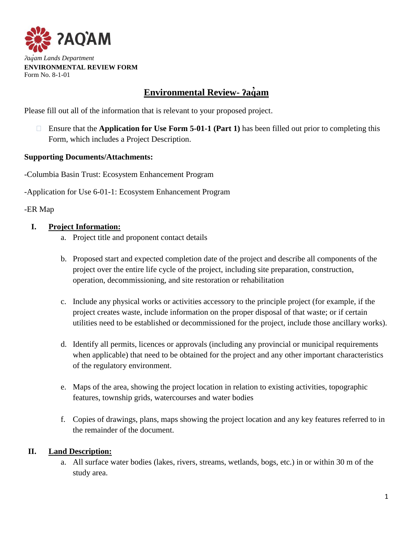

#### **Environmental Review- ʔaq am ̓**

Please fill out all of the information that is relevant to your proposed project.

 Ensure that the **Application for Use Form 5-01-1 (Part 1)** has been filled out prior to completing this Form, which includes a Project Description.

## **Supporting Documents/Attachments:**

-Columbia Basin Trust: Ecosystem Enhancement Program

-Application for Use 6-01-1: Ecosystem Enhancement Program

## -ER Map

## **I. Project Information:**

- a. Project title and proponent contact details
- b. Proposed start and expected completion date of the project and describe all components of the project over the entire life cycle of the project, including site preparation, construction, operation, decommissioning, and site restoration or rehabilitation
- c. Include any physical works or activities accessory to the principle project (for example, if the project creates waste, include information on the proper disposal of that waste; or if certain utilities need to be established or decommissioned for the project, include those ancillary works).
- d. Identify all permits, licences or approvals (including any provincial or municipal requirements when applicable) that need to be obtained for the project and any other important characteristics of the regulatory environment.
- e. Maps of the area, showing the project location in relation to existing activities, topographic features, township grids, watercourses and water bodies
- f. Copies of drawings, plans, maps showing the project location and any key features referred to in the remainder of the document.

## **II. Land Description:**

a. All surface water bodies (lakes, rivers, streams, wetlands, bogs, etc.) in or within 30 m of the study area.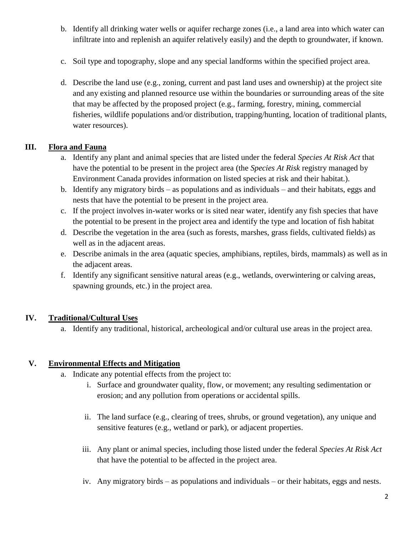- b. Identify all drinking water wells or aquifer recharge zones (i.e., a land area into which water can infiltrate into and replenish an aquifer relatively easily) and the depth to groundwater, if known.
- c. Soil type and topography, slope and any special landforms within the specified project area.
- d. Describe the land use (e.g., zoning, current and past land uses and ownership) at the project site and any existing and planned resource use within the boundaries or surrounding areas of the site that may be affected by the proposed project (e.g., farming, forestry, mining, commercial fisheries, wildlife populations and/or distribution, trapping/hunting, location of traditional plants, water resources).

# **III. Flora and Fauna**

- a. Identify any plant and animal species that are listed under the federal *Species At Risk Act* that have the potential to be present in the project area (the *Species At Risk* registry managed by Environment Canada provides information on listed species at risk and their habitat.).
- b. Identify any migratory birds as populations and as individuals and their habitats, eggs and nests that have the potential to be present in the project area.
- c. If the project involves in-water works or is sited near water, identify any fish species that have the potential to be present in the project area and identify the type and location of fish habitat
- d. Describe the vegetation in the area (such as forests, marshes, grass fields, cultivated fields) as well as in the adjacent areas.
- e. Describe animals in the area (aquatic species, amphibians, reptiles, birds, mammals) as well as in the adjacent areas.
- f. Identify any significant sensitive natural areas (e.g., wetlands, overwintering or calving areas, spawning grounds, etc.) in the project area.

# **IV. Traditional/Cultural Uses**

a. Identify any traditional, historical, archeological and/or cultural use areas in the project area.

# **V. Environmental Effects and Mitigation**

- a. Indicate any potential effects from the project to:
	- i. Surface and groundwater quality, flow, or movement; any resulting sedimentation or erosion; and any pollution from operations or accidental spills.
	- ii. The land surface (e.g., clearing of trees, shrubs, or ground vegetation), any unique and sensitive features (e.g., wetland or park), or adjacent properties.
	- iii. Any plant or animal species, including those listed under the federal *Species At Risk Act* that have the potential to be affected in the project area.
	- iv. Any migratory birds as populations and individuals or their habitats, eggs and nests.